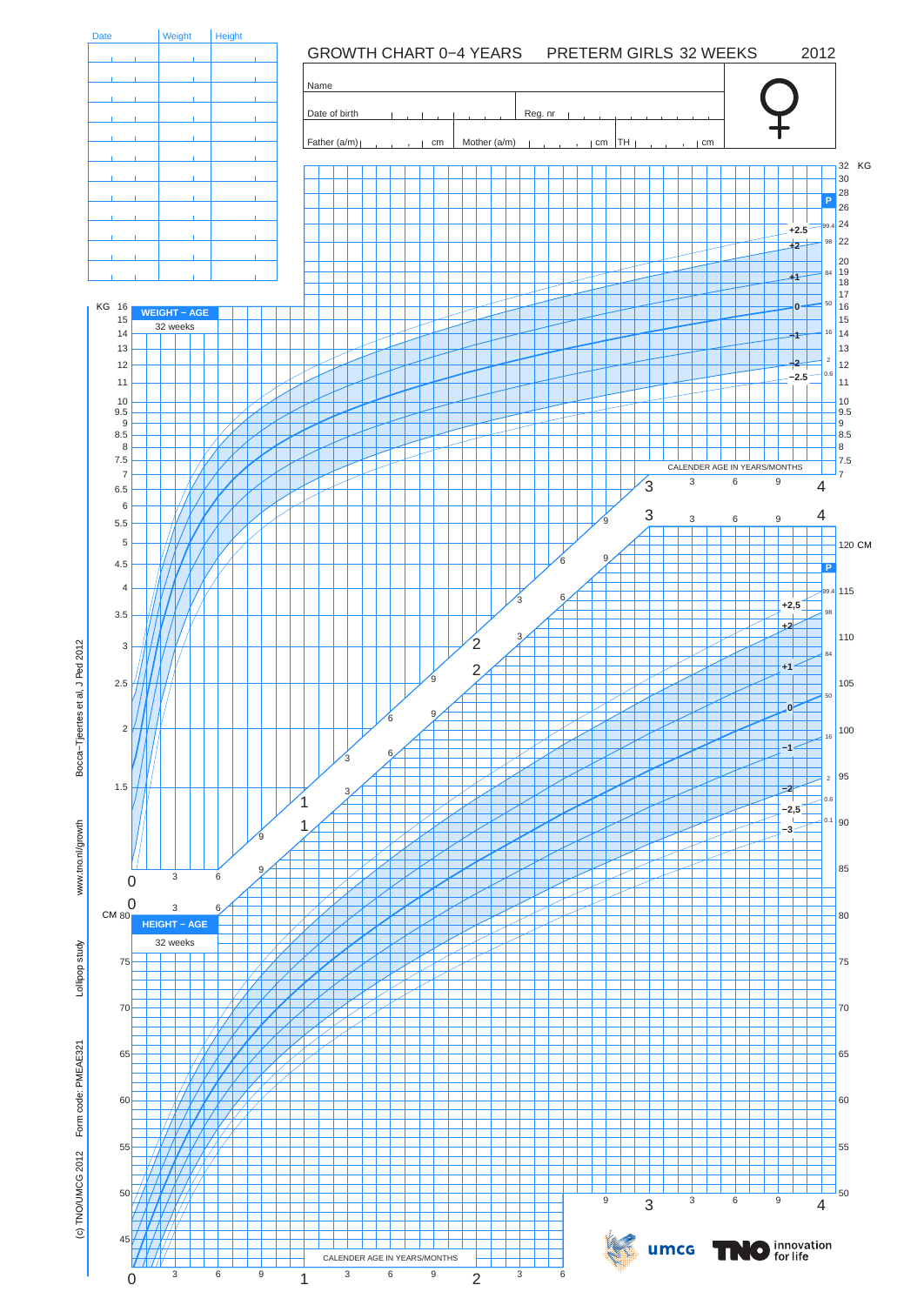